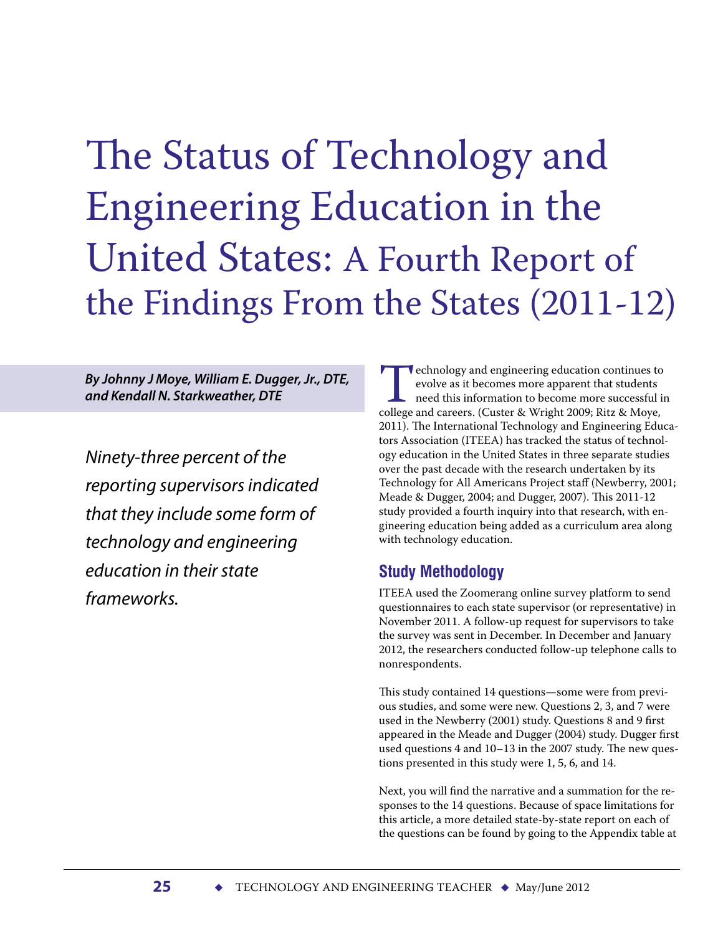# The Status of Technology and Engineering Education in the United States: A Fourth Report of the Findings From the States (2011-12)

*By Johnny J Moye, William E. Dugger, Jr., DTE, and Kendall N. Starkweather, DTE*

*Ninety-three percent of the reporting supervisors indicated that they include some form of technology and engineering education in their state frameworks.*

Fechnology and engineering education continues to evolve as it becomes more apparent that students need this information to become more successful in college and careers. (Custer & Wright 2009; Ritz & Moye, evolve as it becomes more apparent that students need this information to become more successful in 2011). The International Technology and Engineering Educators Association (ITEEA) has tracked the status of technology education in the United States in three separate studies over the past decade with the research undertaken by its Technology for All Americans Project staff (Newberry, 2001; Meade & Dugger, 2004; and Dugger, 2007). This 2011-12 study provided a fourth inquiry into that research, with engineering education being added as a curriculum area along with technology education.

## **Study Methodology**

ITEEA used the Zoomerang online survey platform to send questionnaires to each state supervisor (or representative) in November 2011. A follow-up request for supervisors to take the survey was sent in December. In December and January 2012, the researchers conducted follow-up telephone calls to nonrespondents.

This study contained 14 questions—some were from previous studies, and some were new. Questions 2, 3, and 7 were used in the Newberry (2001) study. Questions 8 and 9 first appeared in the Meade and Dugger (2004) study. Dugger first used questions 4 and 10–13 in the 2007 study. The new questions presented in this study were 1, 5, 6, and 14.

Next, you will find the narrative and a summation for the responses to the 14 questions. Because of space limitations for this article, a more detailed state-by-state report on each of the questions can be found by going to the Appendix table at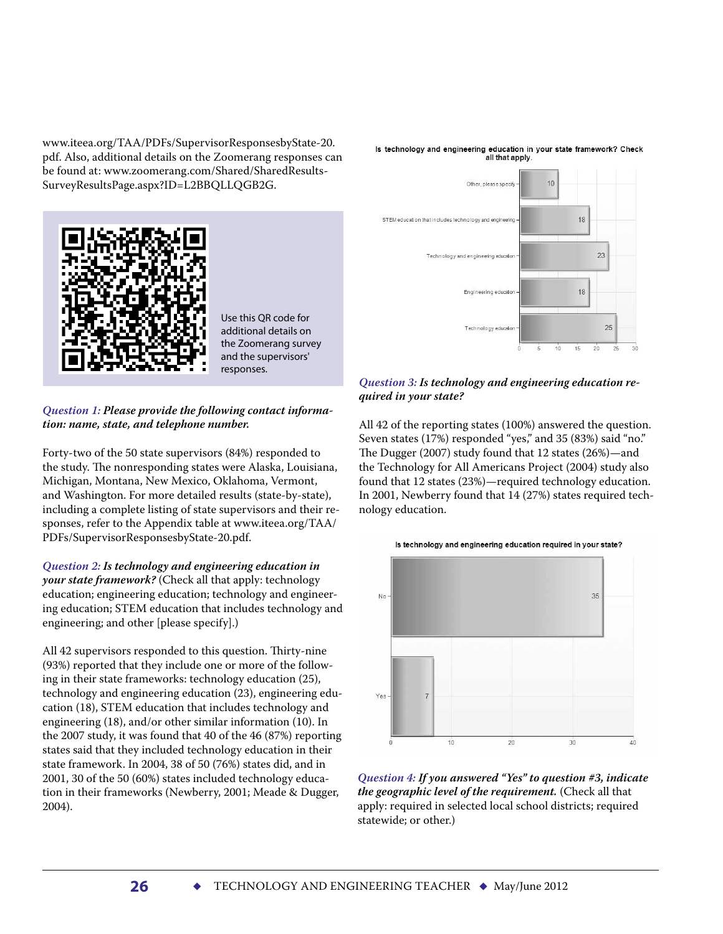www.iteea.org/TAA /PDFs/SupervisorResponsesbyState-20. pdf. Also, additional details on the Zoomerang responses can be found at: www.zoomerang.com/Shared/SharedResults-SurveyResultsPage.aspx?ID=L2BBQLLQGB2G.





Use this QR code for additional details on the Zoomerang survey and the supervisors' responses.

#### *Question 1: Please provide the following contact information: name, state, and telephone number.*

Forty-two of the 50 state supervisors (84%) responded to the study. The nonresponding states were Alaska, Louisiana, Michigan, Montana, New Mexico, Oklahoma, Vermont, and Washington. For more detailed results (state-by-state), including a complete listing of state supervisors and their responses, refer to the Appendix table at www.iteea.org/TAA / PDFs/SupervisorResponsesbyState-20.pdf.

*Question 2: Is technology and engineering education in your state framework?* (Check all that apply: technology education; engineering education; technology and engineering education; STEM education that includes technology and engineering; and other [please specify].)

All 42 supervisors responded to this question. Thirty-nine (93%) reported that they include one or more of the following in their state frameworks: technology education (25), technology and engineering education (23), engineering education (18), STEM education that includes technology and engineering (18), and/or other similar information (10). In the 2007 study, it was found that 40 of the 46 (87%) reporting states said that they included technology education in their state framework. In 2004, 38 of 50 (76%) states did, and in 2001, 30 of the 50 (60%) states included technology education in their frameworks (Newberry, 2001; Meade & Dugger, 2004).



#### *Question 3: Is technology and engineering education required in your state?*

All 42 of the reporting states (100%) answered the question. Seven states (17%) responded "yes," and 35 (83%) said "no." The Dugger (2007) study found that 12 states (26%)—and the Technology for All Americans Project (2004) study also found that 12 states (23%)—required technology education. In 2001, Newberry found that 14 (27%) states required technology education.



*Question 4: If you answered "Yes" to question #3, indicate the geographic level of the requirement.* (Check all that apply: required in selected local school districts; required statewide; or other.)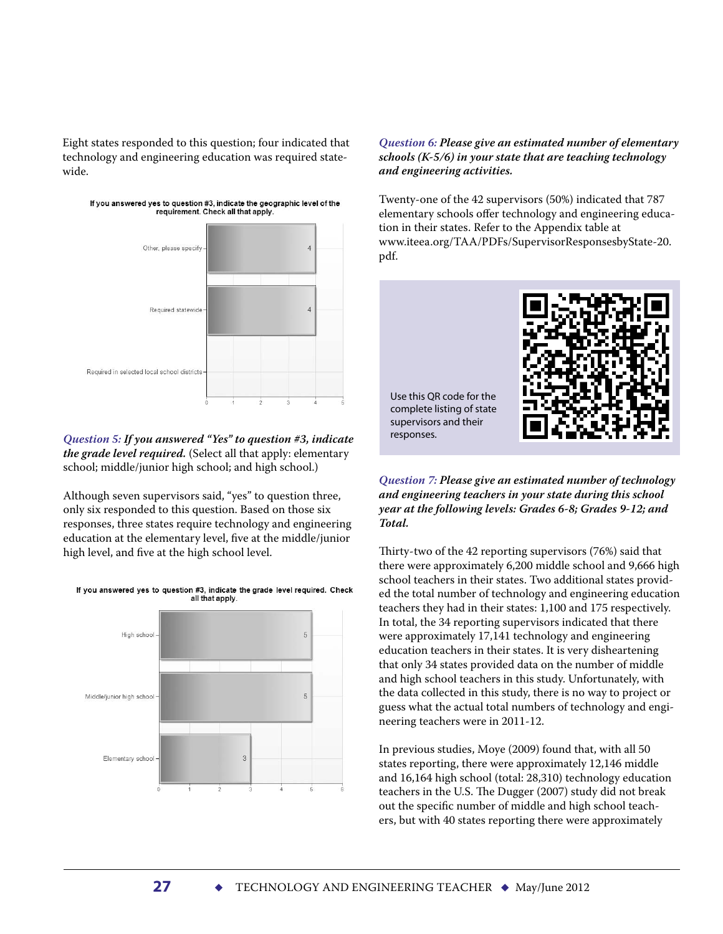Eight states responded to this question; four indicated that technology and engineering education was required statewide.



## If you answered yes to question #3, indicate the geographic level of the requirement. Check all that apply.

#### *Question 5: If you answered "Yes" to question #3, indicate the grade level required.* (Select all that apply: elementary school; middle/junior high school; and high school.)

Although seven supervisors said, "yes" to question three, only six responded to this question. Based on those six responses, three states require technology and engineering education at the elementary level, five at the middle/junior high level, and five at the high school level.



#### *Question 6: Please give an estimated number of elementary schools (K-5/6) in your state that are teaching technology and engineering activities.*

Twenty-one of the 42 supervisors (50%) indicated that 787 elementary schools offer technology and engineering education in their states. Refer to the Appendix table at www.iteea.org/TAA /PDFs/SupervisorResponsesbyState-20. pdf.



*Question 7: Please give an estimated number of technology and engineering teachers in your state during this school year at the following levels: Grades 6-8; Grades 9-12; and Total.* 

Thirty-two of the 42 reporting supervisors (76%) said that there were approximately 6,200 middle school and 9,666 high school teachers in their states. Two additional states provided the total number of technology and engineering education teachers they had in their states: 1,100 and 175 respectively. In total, the 34 reporting supervisors indicated that there were approximately 17,141 technology and engineering education teachers in their states. It is very disheartening that only 34 states provided data on the number of middle and high school teachers in this study. Unfortunately, with the data collected in this study, there is no way to project or guess what the actual total numbers of technology and engineering teachers were in 2011-12.

In previous studies, Moye (2009) found that, with all 50 states reporting, there were approximately 12,146 middle and 16,164 high school (total: 28,310) technology education teachers in the U.S. The Dugger (2007) study did not break out the specific number of middle and high school teachers, but with 40 states reporting there were approximately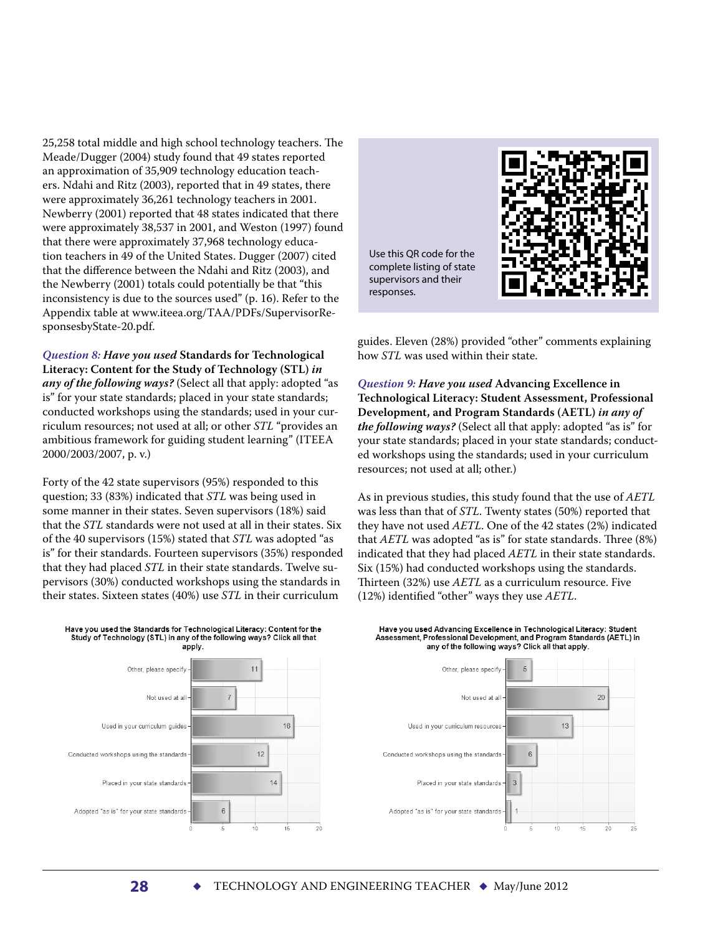25,258 total middle and high school technology teachers. The Meade/Dugger (2004) study found that 49 states reported an approximation of 35,909 technology education teachers. Ndahi and Ritz (2003), reported that in 49 states, there were approximately 36,261 technology teachers in 2001. Newberry (2001) reported that 48 states indicated that there were approximately 38,537 in 2001, and Weston (1997) found that there were approximately 37,968 technology education teachers in 49 of the United States. Dugger (2007) cited that the difference between the Ndahi and Ritz (2003), and the Newberry (2001) totals could potentially be that "this inconsistency is due to the sources used" (p. 16). Refer to the Appendix table at www.iteea.org/TAA /PDFs/SupervisorResponsesbyState-20.pdf.

*Question 8: Have you used* **Standards for Technological Literacy: Content for the Study of Technology (STL)** *in any of the following ways?* (Select all that apply: adopted "as is" for your state standards; placed in your state standards; conducted workshops using the standards; used in your curriculum resources; not used at all; or other *STL* "provides an ambitious framework for guiding student learning" (ITEEA 2000/2003/2007, p. v.)

Forty of the 42 state supervisors (95%) responded to this question; 33 (83%) indicated that *STL* was being used in some manner in their states. Seven supervisors (18%) said that the *STL* standards were not used at all in their states. Six of the 40 supervisors (15%) stated that *STL* was adopted "as is" for their standards. Fourteen supervisors (35%) responded that they had placed *STL* in their state standards. Twelve supervisors (30%) conducted workshops using the standards in their states. Sixteen states (40%) use *STL* in their curriculum

Have you used the Standards for Technological Literacy: Content for the

Use this QR code for the complete listing of state supervisors and their responses.

guides. Eleven (28%) provided "other" comments explaining how *STL* was used within their state.

*Question 9: Have you used* **Advancing Excellence in Technological Literacy: Student Assessment, Professional Development, and Program Standards (AETL)** *in any of the following ways?* (Select all that apply: adopted "as is" for your state standards; placed in your state standards; conducted workshops using the standards; used in your curriculum resources; not used at all; other.)

As in previous studies, this study found that the use of *AETL* was less than that of *STL*. Twenty states (50%) reported that they have not used *AETL*. One of the 42 states (2%) indicated that *AETL* was adopted "as is" for state standards. Three (8%) indicated that they had placed *AETL* in their state standards. Six (15%) had conducted workshops using the standards. Thirteen (32%) use *AETL* as a curriculum resource. Five (12%) identified "other" ways they use *AETL*.



Have you used Advancing Excellence in Technological Literacy: Student Assessment, Professional Development, and Program Standards (AETL) in any of the following ways? Click all that apply.



**28 •** TECHNOLOGY AND ENGINEERING TEACHER **•** May/June 2012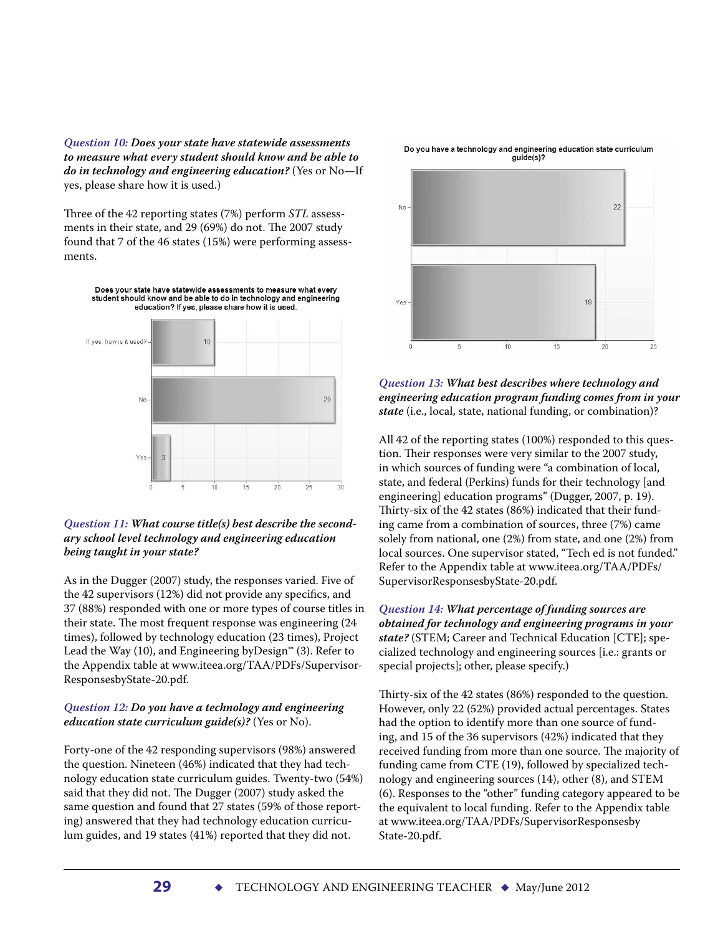*Question 10: Does your state have statewide assessments to measure what every student should know and be able to do in technology and engineering education?* (Yes or No—If yes, please share how it is used.)

Three of the 42 reporting states (7%) perform *STL* assessments in their state, and 29 (69%) do not. The 2007 study found that 7 of the 46 states (15%) were performing assessments.



#### *Question 11: What course title(s) best describe the secondary school level technology and engineering education being taught in your state?*

As in the Dugger (2007) study, the responses varied. Five of the 42 supervisors (12%) did not provide any specifics, and 37 (88%) responded with one or more types of course titles in their state. The most frequent response was engineering (24 times), followed by technology education (23 times), Project Lead the Way (10), and Engineering by Design<sup>™</sup> (3). Refer to the Appendix table at www.iteea.org/TAA /PDFs/Supervisor-ResponsesbyState-20.pdf.

#### *Question 12: Do you have a technology and engineering education state curriculum guide(s)?* (Yes or No).

Forty-one of the 42 responding supervisors (98%) answered the question. Nineteen (46%) indicated that they had technology education state curriculum guides. Twenty-two (54%) said that they did not. The Dugger (2007) study asked the same question and found that 27 states (59% of those reporting) answered that they had technology education curriculum guides, and 19 states (41%) reported that they did not.



#### *Question 13: What best describes where technology and engineering education program funding comes from in your state* (i.e., local, state, national funding, or combination)?

All 42 of the reporting states (100%) responded to this question. Their responses were very similar to the 2007 study, in which sources of funding were "a combination of local, state, and federal (Perkins) funds for their technology [and engineering] education programs" (Dugger, 2007, p. 19). Thirty-six of the 42 states (86%) indicated that their funding came from a combination of sources, three (7%) came solely from national, one (2%) from state, and one (2%) from local sources. One supervisor stated, "Tech ed is not funded." Refer to the Appendix table at www.iteea.org/TAA /PDFs/ SupervisorResponsesbyState-20.pdf.

*Question 14: What percentage of funding sources are obtained for technology and engineering programs in your state?* (STEM; Career and Technical Education [CTE]; specialized technology and engineering sources [i.e.: grants or special projects]; other, please specify.)

Thirty-six of the 42 states (86%) responded to the question. However, only 22 (52%) provided actual percentages. States had the option to identify more than one source of funding, and 15 of the 36 supervisors (42%) indicated that they received funding from more than one source. The majority of funding came from CTE (19), followed by specialized technology and engineering sources (14), other (8), and STEM (6). Responses to the "other" funding category appeared to be the equivalent to local funding. Refer to the Appendix table at www.iteea.org/TAA /PDFs/SupervisorResponsesby State-20.pdf.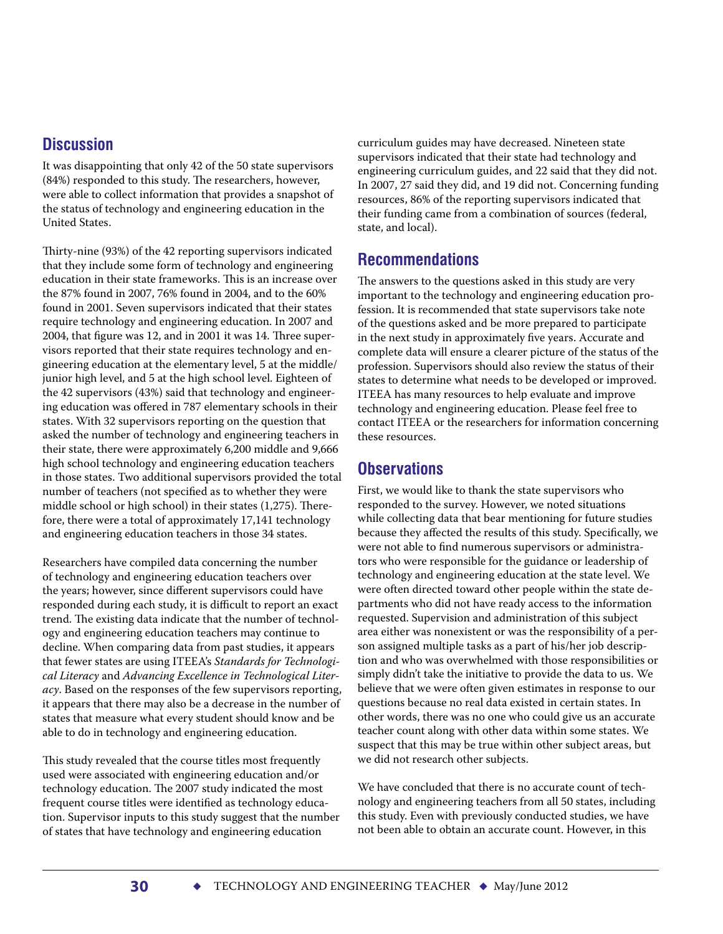### **Discussion**

It was disappointing that only 42 of the 50 state supervisors (84%) responded to this study. The researchers, however, were able to collect information that provides a snapshot of the status of technology and engineering education in the United States.

Thirty-nine (93%) of the 42 reporting supervisors indicated that they include some form of technology and engineering education in their state frameworks. This is an increase over the 87% found in 2007, 76% found in 2004, and to the 60% found in 2001. Seven supervisors indicated that their states require technology and engineering education. In 2007 and 2004, that figure was 12, and in 2001 it was 14. Three supervisors reported that their state requires technology and engineering education at the elementary level, 5 at the middle/ junior high level, and 5 at the high school level. Eighteen of the 42 supervisors (43%) said that technology and engineering education was offered in 787 elementary schools in their states. With 32 supervisors reporting on the question that asked the number of technology and engineering teachers in their state, there were approximately 6,200 middle and 9,666 high school technology and engineering education teachers in those states. Two additional supervisors provided the total number of teachers (not specified as to whether they were middle school or high school) in their states (1,275). Therefore, there were a total of approximately 17,141 technology and engineering education teachers in those 34 states.

Researchers have compiled data concerning the number of technology and engineering education teachers over the years; however, since different supervisors could have responded during each study, it is difficult to report an exact trend. The existing data indicate that the number of technology and engineering education teachers may continue to decline. When comparing data from past studies, it appears that fewer states are using ITEEA's *Standards for Technological Literacy* and *Advancing Excellence in Technological Literacy*. Based on the responses of the few supervisors reporting, it appears that there may also be a decrease in the number of states that measure what every student should know and be able to do in technology and engineering education.

This study revealed that the course titles most frequently used were associated with engineering education and/or technology education. The 2007 study indicated the most frequent course titles were identified as technology education. Supervisor inputs to this study suggest that the number of states that have technology and engineering education

curriculum guides may have decreased. Nineteen state supervisors indicated that their state had technology and engineering curriculum guides, and 22 said that they did not. In 2007, 27 said they did, and 19 did not. Concerning funding resources, 86% of the reporting supervisors indicated that their funding came from a combination of sources (federal, state, and local).

## **Recommendations**

The answers to the questions asked in this study are very important to the technology and engineering education profession. It is recommended that state supervisors take note of the questions asked and be more prepared to participate in the next study in approximately five years. Accurate and complete data will ensure a clearer picture of the status of the profession. Supervisors should also review the status of their states to determine what needs to be developed or improved. ITEEA has many resources to help evaluate and improve technology and engineering education. Please feel free to contact ITEEA or the researchers for information concerning these resources.

## **Observations**

First, we would like to thank the state supervisors who responded to the survey. However, we noted situations while collecting data that bear mentioning for future studies because they affected the results of this study. Specifically, we were not able to find numerous supervisors or administrators who were responsible for the guidance or leadership of technology and engineering education at the state level. We were often directed toward other people within the state departments who did not have ready access to the information requested. Supervision and administration of this subject area either was nonexistent or was the responsibility of a person assigned multiple tasks as a part of his/her job description and who was overwhelmed with those responsibilities or simply didn't take the initiative to provide the data to us. We believe that we were often given estimates in response to our questions because no real data existed in certain states. In other words, there was no one who could give us an accurate teacher count along with other data within some states. We suspect that this may be true within other subject areas, but we did not research other subjects.

We have concluded that there is no accurate count of technology and engineering teachers from all 50 states, including this study. Even with previously conducted studies, we have not been able to obtain an accurate count. However, in this